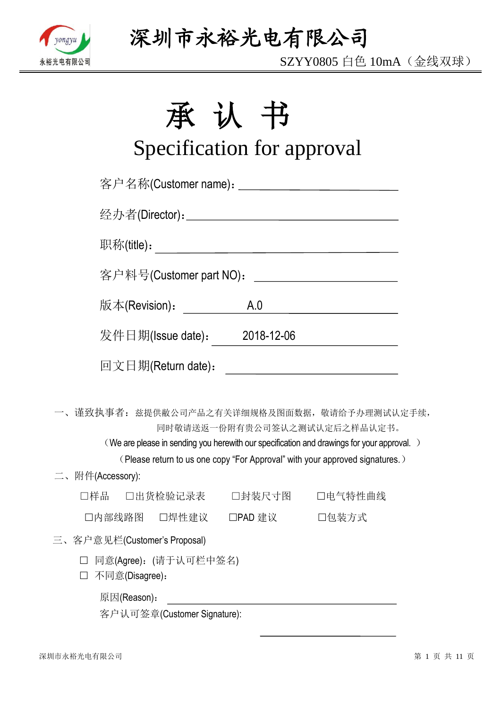

SZYY0805 白色 10mA(金线双球)

# 承认书

# Specification for approval

| 客户名称(Customer name): _____________________________ |        |                                                                                                                                                                                                           |
|----------------------------------------------------|--------|-----------------------------------------------------------------------------------------------------------------------------------------------------------------------------------------------------------|
|                                                    |        |                                                                                                                                                                                                           |
|                                                    |        |                                                                                                                                                                                                           |
| 客户料号(Customer part NO):                            |        | <u> 1989 - Andrea Station Barbara, amerikan per</u>                                                                                                                                                       |
| 版本(Revision) <b>:</b>                              |        | A.0                                                                                                                                                                                                       |
| 发件日期(Issue date): 2018-12-06                       |        |                                                                                                                                                                                                           |
| 回文日期(Return date):                                 |        | <u> 1989 - Andrea Albert III, martin a bhaile an t-Iomraidh an t-Iomraidh an t-Iomraidh an t-Iomraidh an t-Iomraidh</u>                                                                                   |
| 一、谨致执事者: 兹提供敝公司产品之有关详细规格及图面数据, 敬请给予办理测试认定手续,       |        | 同时敬请送返一份附有贵公司签认之测试认定后之样品认定书。<br>(We are please in sending you herewith our specification and drawings for your approval.)<br>(Please return to us one copy "For Approval" with your approved signatures.) |
| 二、附件(Accessory):                                   |        |                                                                                                                                                                                                           |
| □样品<br>□出货检验记录表                                    | □封装尺寸图 | 口电气特性曲线                                                                                                                                                                                                   |
| □内部线路图 □焊性建议 □PAD 建议 □□包装方式                        |        |                                                                                                                                                                                                           |
| 三、客户意见栏(Customer's Proposal)                       |        |                                                                                                                                                                                                           |
| □ 同意(Agree): (请于认可栏中签名)<br>不同意(Disagree):          |        |                                                                                                                                                                                                           |
| 原因(Reason):                                        |        |                                                                                                                                                                                                           |

客户认可签章(Customer Signature):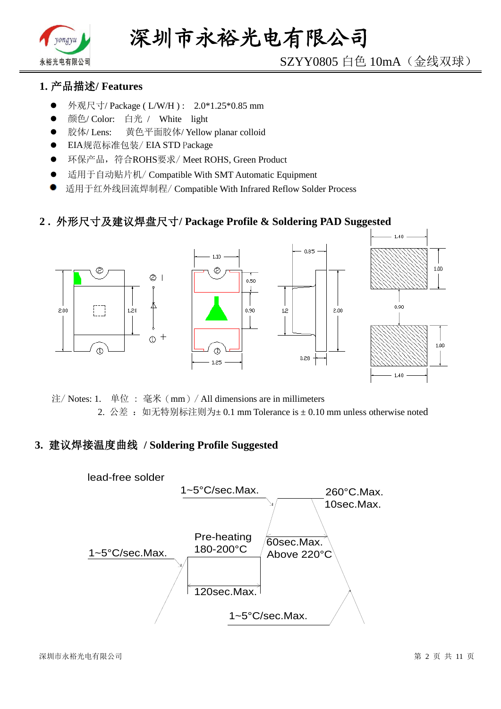

# SZYY0805 白色 10mA(金线双球)

# **1.** 产品描述**/ Features**

- 外观尺寸/ Package ( L/W/H ) : 2.0\*1.25\*0.85 mm
- 颜色/ Color: 白光 / White light
- 胶体/ Lens: 黄色平面胶体/ Yellow planar colloid
- EIA规范标准包装/ EIA STD Package
- **●** 环保产品,符合ROHS要求/Meet ROHS, Green Product
- 适用于自动贴片机/ Compatible With SMT Automatic Equipment
- 适用于红外线回流焊制程/ Compatible With Infrared Reflow Solder Process

## **2 .** 外形尺寸及建议焊盘尺寸**/ Package Profile & Soldering PAD Suggested**



注/ Notes: 1. 单位 : 毫米(mm)/ All dimensions are in millimeters 2. 公差: 如无特别标注则为±0.1 mm Tolerance is ±0.10 mm unless otherwise noted

## **3.** 建议焊接温度曲线 **/ Soldering Profile Suggested**

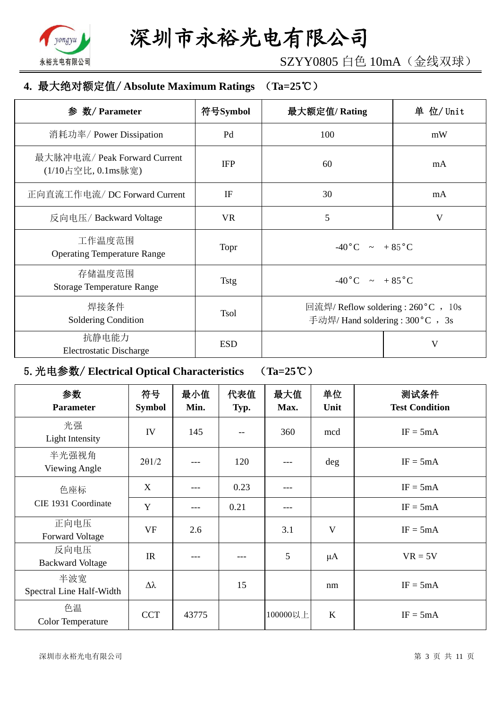

SZYY0805 白色 10mA(金线双球)

# **4.** 最大绝对额定值/ **Absolute Maximum Ratings** (**Ta=25**℃)

| 数/ Parameter<br>参                                  | 符号Symbol    | 最大额定值/Rating                                                           | 单 位/ Unit |
|----------------------------------------------------|-------------|------------------------------------------------------------------------|-----------|
| 消耗功率/ Power Dissipation                            | Pd          | 100                                                                    | mW        |
| 最大脉冲电流/ Peak Forward Current<br>(1/10占空比, 0.1ms脉宽) | <b>IFP</b>  | 60                                                                     | mA        |
| 正向直流工作电流/DC Forward Current                        | IF          | 30                                                                     | mA        |
| 反向电压/Backward Voltage                              | <b>VR</b>   | 5                                                                      | V         |
| 工作温度范围<br><b>Operating Temperature Range</b>       | Topr        | $-40\degree C$ $\sim +85\degree C$                                     |           |
| 存储温度范围<br><b>Storage Temperature Range</b>         | <b>Tstg</b> | $-40\degree C$ $\sim +85\degree C$                                     |           |
| 焊接条件<br>Soldering Condition                        | <b>Tsol</b> | 回流焊/ Reflow soldering : 260 °C , 10s<br>手动焊/ Hand soldering: 300°C, 3s |           |
| 抗静电能力<br><b>Electrostatic Discharge</b>            | <b>ESD</b>  |                                                                        | V         |

# 5.光电参数/ **Electrical Optical Characteristics** (**Ta=25**℃)

| 参数<br><b>Parameter</b>          | 符号<br><b>Symbol</b> | 最小值<br>Min. | 代表值<br>Typ. | 最大值<br>Max. | 单位<br>Unit   | 测试条件<br><b>Test Condition</b> |
|---------------------------------|---------------------|-------------|-------------|-------------|--------------|-------------------------------|
| 光强<br>Light Intensity           | IV                  | 145         | --          | 360         | mcd          | $IF = 5mA$                    |
| 半光强视角<br>Viewing Angle          | $2\theta$ 1/2       |             | 120         | ---         | deg          | $IF = 5mA$                    |
| 色座标                             | X                   |             | 0.23        | ---         |              | $IF = 5mA$                    |
| CIE 1931 Coordinate             | Y                   | ---         | 0.21        | ---         |              | $IF = 5mA$                    |
| 正向电压<br><b>Forward Voltage</b>  | <b>VF</b>           | 2.6         |             | 3.1         | $\mathbf{V}$ | $IF = 5mA$                    |
| 反向电压<br><b>Backward Voltage</b> | IR                  |             |             | 5           | $\mu$ A      | $VR = 5V$                     |
| 半波宽<br>Spectral Line Half-Width | $\Delta \lambda$    |             | 15          |             | nm           | $IF = 5mA$                    |
| 色温<br><b>Color Temperature</b>  | <b>CCT</b>          | 43775       |             | 100000以上    | K            | $IF = 5mA$                    |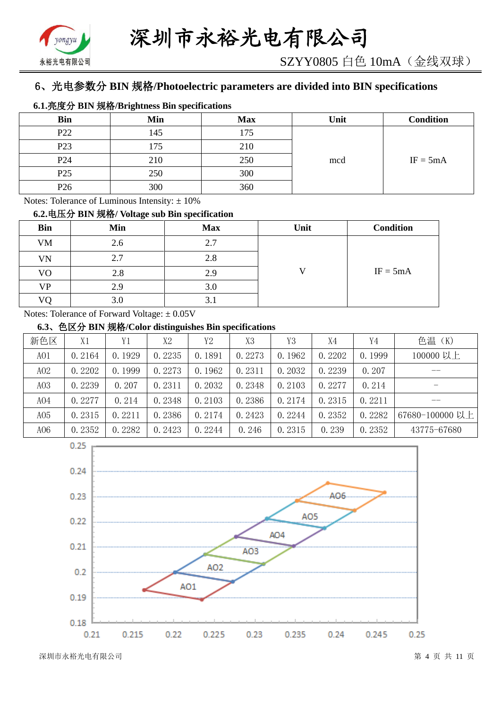

# 6、光电参数分 **BIN** 规格**/Photoelectric parameters are divided into BIN specifications**

#### **6.1.**亮度分 **BIN** 规格**/Brightness Bin specifications**

| <b>Bin</b>      | Min | <b>Max</b> | Unit | <b>Condition</b> |
|-----------------|-----|------------|------|------------------|
| P <sub>22</sub> | 145 | 175        |      |                  |
| P <sub>23</sub> | .75 | 210        |      |                  |
| P <sub>24</sub> | 210 | 250        | mcd  | $IF = 5mA$       |
| P <sub>25</sub> | 250 | 300        |      |                  |
| P <sub>26</sub> | 300 | 360        |      |                  |

Notes: Tolerance of Luminous Intensity:  $\pm 10\%$ 

#### **6.2.**电压分 **BIN** 规格**/ Voltage sub Bin specification**

| <b>Bin</b> | Min | <b>Max</b> | Unit | <b>Condition</b> |
|------------|-----|------------|------|------------------|
| <b>VM</b>  | 2.6 | 2.7        |      |                  |
| VN         | 2.7 | 2.8        |      |                  |
| VO         | 2.8 | 2.9        |      | $IF = 5mA$       |
| VP         | 2.9 | 3.0        |      |                  |
| VО         | 3.0 | 3.1        |      |                  |

Notes: Tolerance of Forward Voltage: ±0.05V

### **6.3**、色区分 **BIN** 规格**/Color distinguishes Bin specifications**

| 新色区             | X1     | Y1     | X2     | Y <sub>2</sub> | X3     | Y3     | X4     | Y4     | 色温 (K)          |
|-----------------|--------|--------|--------|----------------|--------|--------|--------|--------|-----------------|
| AO1             | 0.2164 | 0.1929 | 0.2235 | 0.1891         | 0.2273 | 0.1962 | 0.2202 | 0.1999 | 100000 以上       |
| A02             | 0.2202 | 0.1999 | 0.2273 | 0.1962         | 0.2311 | 0.2032 | 0.2239 | 0.207  | --              |
| A <sub>03</sub> | 0.2239 | 0.207  | 0.2311 | 0.2032         | 0.2348 | 0.2103 | 0.2277 | 0.214  |                 |
| A04             | 0.2277 | 0.214  | 0.2348 | 0.2103         | 0.2386 | 0.2174 | 0.2315 | 0.2211 | __              |
| A05             | 0.2315 | 0.2211 | 0.2386 | 0.2174         | 0.2423 | 0.2244 | 0.2352 | 0.2282 | 67680-100000 以上 |
| A06             | 0.2352 | 0.2282 | 0.2423 | 0.2244         | 0.246  | 0.2315 | 0.239  | 0.2352 | 43775-67680     |

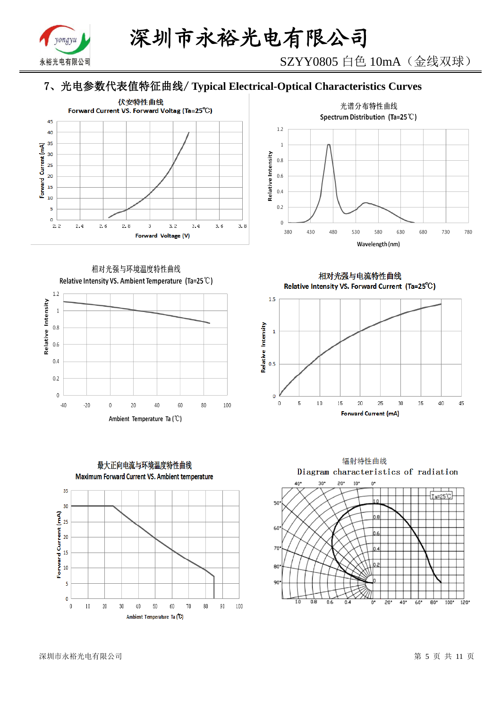

SZYY0805 白色 10mA(金线双球)

# 7、光电参数代表值特征曲线/ **Typical Electrical-Optical Characteristics Curves**





相对光强与环境温度特性曲线 Relative Intensity VS. Ambient Temperature (Ta=25°C)





相对光强与电流特性曲线 Relative Intensity VS. Forward Current (Ta=25°C)



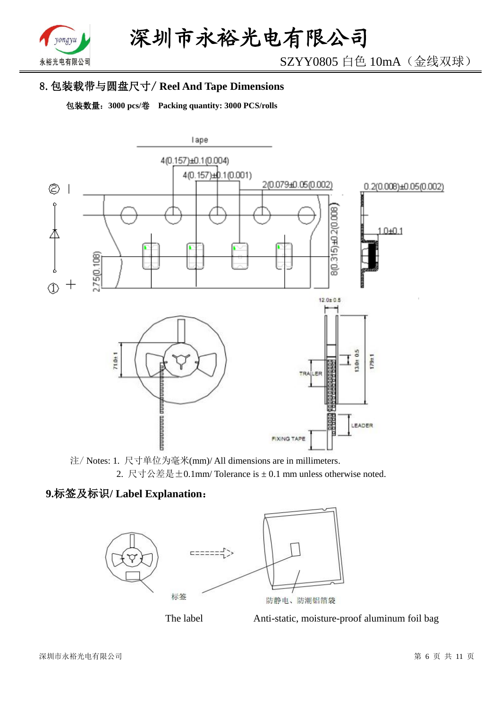

SZYY0805 白色 10mA(金线双球)

# 8.包装载带与圆盘尺寸/ **Reel And Tape Dimensions**

包装数量:**3000 pcs/**卷 **Packing quantity: 3000 PCS/rolls**



注/ Notes: 1. 尺寸单位为毫米(mm)/ All dimensions are in millimeters. 2. 尺寸公差是±0.1mm/ Tolerance is ± 0.1 mm unless otherwise noted.

# **9.**标签及标识**/ Label Explanation**:



The label Anti-static, moisture-proof aluminum foil bag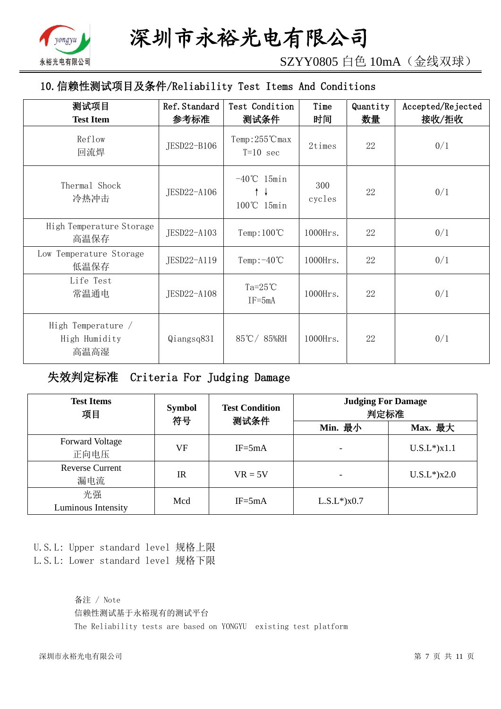

SZYY0805 白色 10mA(金线双球)

# 10.信赖性测试项目及条件/Reliability Test Items And Conditions

| 测试项目<br><b>Test Item</b>                    | Ref. Standard<br>参考标准 | Test Condition<br>测试条件                                        | Time<br>时间    | Quantity<br>数量 | Accepted/Rejected<br>接收/拒收 |
|---------------------------------------------|-----------------------|---------------------------------------------------------------|---------------|----------------|----------------------------|
| Reflow<br>回流焊                               | JESD22-B106           | $Temp:255^{\circ}C$ max<br>$T=10$ sec                         | 2times        | 22             | 0/1                        |
| Thermal Shock<br>冷热冲击                       | JESD22-A106           | $-40^{\circ}$ C 15min<br>$\uparrow \downarrow$<br>100°C 15min | 300<br>cycles | 22             | 0/1                        |
| High Temperature Storage<br>高温保存            | JESD22-A103           | Temp: $100^{\circ}$ C                                         | 1000Hrs.      | 22             | 0/1                        |
| Low Temperature Storage<br>低温保存             | JESD22-A119           | Temp: $-40^{\circ}$ C                                         | $1000$ Hrs.   | 22             | 0/1                        |
| Life Test<br>常温通电                           | JESD22-A108           | $Ta=25^{\circ}C$<br>$IF = 5mA$                                | 1000Hrs.      | 22             | 0/1                        |
| High Temperature /<br>High Humidity<br>高温高湿 | Qiangsq831            | 85℃/85%RH                                                     | 1000Hrs.      | 22             | 0/1                        |

失效判定标准 Criteria For Judging Damage

| <b>Test Items</b><br>项目        | <b>Symbol</b><br>符号 | <b>Test Condition</b><br>测试条件 | <b>Judging For Damage</b><br>判定标准 |                   |  |
|--------------------------------|---------------------|-------------------------------|-----------------------------------|-------------------|--|
|                                |                     |                               | Min. 最小                           | Max. 最大           |  |
| <b>Forward Voltage</b><br>正向电压 | VF                  | $IF = 5mA$                    |                                   | $U.S.L*$ ) $x1.1$ |  |
| <b>Reverse Current</b><br>漏电流  | <b>IR</b>           | $VR = 5V$                     |                                   | $U.S.L*$ )x2.0    |  |
| 光强<br>Luminous Intensity       | Mcd                 | $IF = 5mA$                    | $L.S.L*$ ) $x0.7$                 |                   |  |

U.S.L: Upper standard level 规格上限 L.S.L: Lower standard level 规格下限

> 备注 / Note 信赖性测试基于永裕现有的测试平台 The Reliability tests are based on YONGYU existing test platform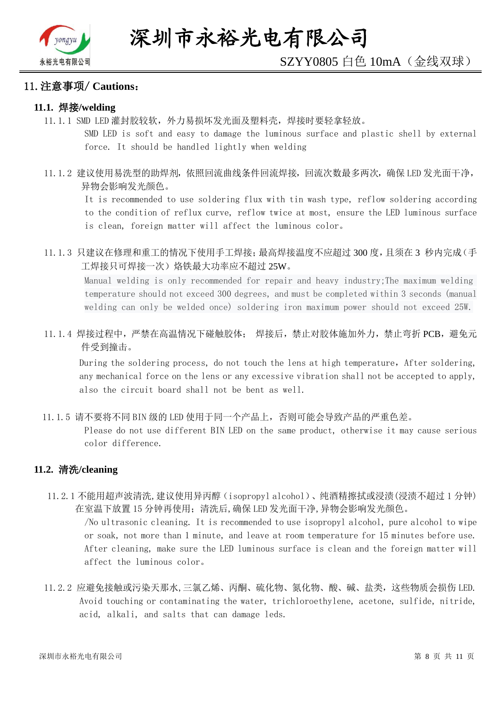

#### 11.注意事项/ **Cautions**:

#### **11.1.** 焊接**/welding**

11.1.1 SMD LED 灌封胶较软,外力易损坏发光面及塑料壳,焊接时要轻拿轻放。

SMD LED is soft and easy to damage the luminous surface and plastic shell by external force. It should be handled lightly when welding

11.1.2 建议使用易洗型的助焊剂,依照回流曲线条件回流焊接,回流次数最多两次,确保 LED 发光面干净, 异物会影响发光颜色。

It is recommended to use soldering flux with tin wash type, reflow soldering according to the condition of reflux curve, reflow twice at most, ensure the LED luminous surface is clean, foreign matter will affect the luminous color。

11.1.3 只建议在修理和重工的情况下使用手工焊接;最高焊接温度不应超过 300 度,且须在 3 秒内完成(手 工焊接只可焊接一次)烙铁最大功率应不超过 25W。

Manual welding is only recommended for repair and heavy industry;The maximum welding temperature should not exceed 300 degrees, and must be completed within 3 seconds (manual welding can only be welded once) soldering iron maximum power should not exceed 25W.

11.1.4 焊接过程中,严禁在高温情况下碰触胶体; 焊接后,禁止对胶体施加外力,禁止弯折 PCB,避免元 件受到撞击。

During the soldering process, do not touch the lens at high temperature, After soldering, any mechanical force on the lens or any excessive vibration shall not be accepted to apply, also the circuit board shall not be bent as well.

11.1.5 请不要将不同 BIN 级的 LED 使用于同一个产品上,否则可能会导致产品的严重色差。

Please do not use different BIN LED on the same product, otherwise it may cause serious color difference.

#### **11.2.** 清洗**/cleaning**

11.2.1 不能用超声波清洗,建议使用异丙醇(isopropyl alcohol)、纯酒精擦拭或浸渍(浸渍不超过 1 分钟) 在室温下放置 15 分钟再使用;清洗后,确保 LED 发光面干净,异物会影响发光颜色。

/No ultrasonic cleaning. It is recommended to use isopropyl alcohol, pure alcohol to wipe or soak, not more than 1 minute, and leave at room temperature for 15 minutes before use. After cleaning, make sure the LED luminous surface is clean and the foreign matter will affect the luminous color。

11.2.2 应避免接触或污染天那水,三氯乙烯、丙酮、硫化物、氮化物、酸、碱、盐类,这些物质会损伤 LED. Avoid touching or contaminating the water, trichloroethylene, acetone, sulfide, nitride, acid, alkali, and salts that can damage leds.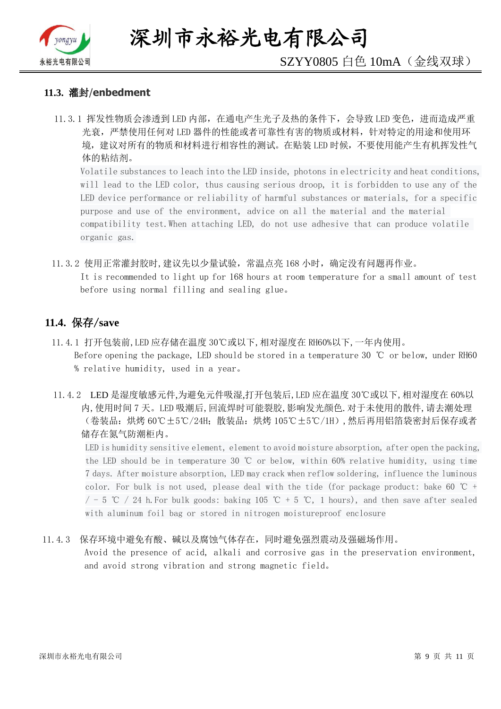

深圳市永裕光电有限公司

# SZYY0805 白色 10mA(金线双球)

#### **11.3.** 灌封/**enbedment**

11.3.1 挥发性物质会渗透到 LED 内部, 在通电产生光子及热的条件下, 会导致 LED 变色, 进而造成严重 光衰,严禁使用任何对 LED 器件的性能或者可靠性有害的物质或材料,针对特定的用途和使用环 境,建议对所有的物质和材料进行相容性的测试。在贴装 LED 时候,不要使用能产生有机挥发性气 体的粘结剂。

Volatile substances to leach into the LED inside, photons in electricity and heat conditions, will lead to the LED color, thus causing serious droop, it is forbidden to use any of the LED device performance or reliability of harmful substances or materials, for a specific purpose and use of the environment, advice on all the material and the material compatibility test.When attaching LED, do not use adhesive that can produce volatile organic gas.

11.3.2 使用正常灌封胶时,建议先以少量试验,常温点亮 168 小时,确定没有问题再作业。 It is recommended to light up for 168 hours at room temperature for a small amount of test before using normal filling and sealing glue。

### **11.4.** 保存/**save**

- 11.4.1 打开包装前,LED 应存储在温度 30℃或以下,相对湿度在 RH60%以下,一年内使用。 Before opening the package, LED should be stored in a temperature 30 ℃ or below, under RH60 % relative humidity, used in a year。
- 11.4.2 LED 是湿度敏感元件,为避免元件吸湿,打开包装后,LED 应在温度 30℃或以下,相对湿度在 60%以 内,使用时间 7 天。LED 吸潮后,回流焊时可能裂胶,影响发光颜色.对于未使用的散件,请去潮处理 (卷装品:烘烤 60℃±5℃/24H;散装品:烘烤 105℃±5℃/1H),然后再用铝箔袋密封后保存或者 储存在氮气防潮柜内。

LED is humidity sensitive element, element to avoid moisture absorption, after open the packing, the LED should be in temperature 30 ℃ or below, within 60% relative humidity, using time 7 days. After moisture absorption, LED may crack when reflow soldering, influence the luminous color. For bulk is not used, please deal with the tide (for package product: bake 60  $\degree$ C +  $/$  - 5 ℃ / 24 h. For bulk goods: baking 105 ℃ + 5 ℃, 1 hours), and then save after sealed with aluminum foil bag or stored in nitrogen moistureproof enclosure

#### 11.4.3 保存环境中避免有酸、碱以及腐蚀气体存在,同时避免强烈震动及强磁场作用。

Avoid the presence of acid, alkali and corrosive gas in the preservation environment, and avoid strong vibration and strong magnetic field。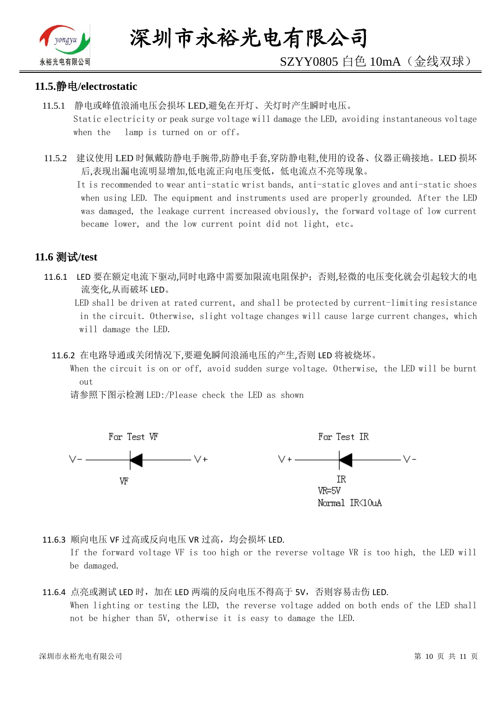

# SZYY0805 白色 10mA(金线双球)

#### **11.5.**静电**/electrostatic**

- 11.5.1 静电或峰值浪涌电压会损坏 LED,避免在开灯、关灯时产生瞬时电压。 Static electricity or peak surge voltage will damage the LED, avoiding instantaneous voltage when the lamp is turned on or off。
- 11.5.2 建议使用 LED 时佩戴防静电手腕带,防静电手套,穿防静电鞋,使用的设备、仪器正确接地。LED 损坏 后,表现出漏电流明显增加,低电流正向电压变低,低电流点不亮等现象。

 It is recommended to wear anti-static wrist bands, anti-static gloves and anti-static shoes when using LED. The equipment and instruments used are properly grounded. After the LED was damaged, the leakage current increased obviously, the forward voltage of low current became lower, and the low current point did not light, etc。

# **11.6** 测试**/test**

11.6.1 LED 要在额定电流下驱动,同时电路中需要加限流电阻保护;否则,轻微的电压变化就会引起较大的电 流变化,从而破坏 LED。

 LED shall be driven at rated current, and shall be protected by current-limiting resistance in the circuit. Otherwise, slight voltage changes will cause large current changes, which will damage the LED.

11.6.2 在电路导通或关闭情况下,要避免瞬间浪涌电压的产生,否则 LED 将被烧坏。

 When the circuit is on or off, avoid sudden surge voltage. Otherwise, the LED will be burnt out

请参照下图示检测 LED:/Please check the LED as shown



11.6.3 顺向电压 VF 过高或反向电压 VR 过高, 均会损坏 LED.

If the forward voltage VF is too high or the reverse voltage VR is too high, the LED will be damaged.

### 11.6.4 点亮或测试 LED 时,加在 LED 两端的反向电压不得高于 5V,否则容易击伤 LED. When lighting or testing the LED, the reverse voltage added on both ends of the LED shall not be higher than 5V, otherwise it is easy to damage the LED.